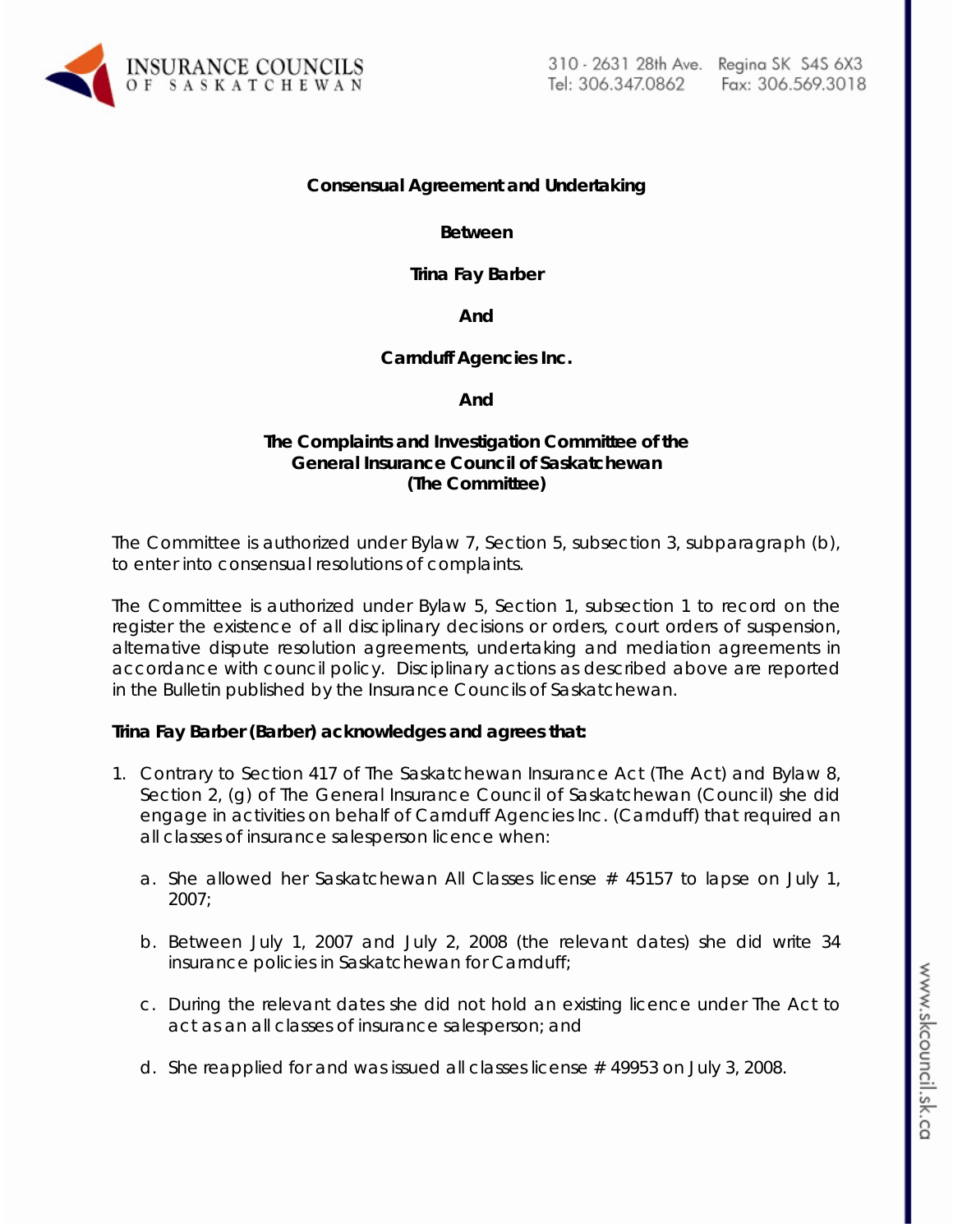

#### **Consensual Agreement and Undertaking**

**Between**

**Trina Fay Barber**

**And**

**Carnduff Agencies Inc.**

**And**

### **The Complaints and Investigation Committee of the General Insurance Council of Saskatchewan (The Committee)**

The Committee is authorized under Bylaw 7, Section 5, subsection 3, subparagraph (b), to enter into consensual resolutions of complaints.

The Committee is authorized under Bylaw 5, Section 1, subsection 1 to record on the register the existence of all disciplinary decisions or orders, court orders of suspension, alternative dispute resolution agreements, undertaking and mediation agreements in accordance with council policy. Disciplinary actions as described above are reported in the Bulletin published by the Insurance Councils of Saskatchewan.

### **Trina Fay Barber (Barber) acknowledges and agrees that:**

- 1. Contrary to Section 417 of *The Saskatchewan Insurance Act (The Act)* and Bylaw 8, Section 2, (g) of The General Insurance Council of Saskatchewan (Council) she did engage in activities on behalf of Carnduff Agencies Inc. (Carnduff) that required an all classes of insurance salesperson licence when:
	- a. She allowed her Saskatchewan All Classes license # 45157 to lapse on July 1, 2007;
	- b. Between July 1, 2007 and July 2, 2008 (the relevant dates) she did write 34 insurance policies in Saskatchewan for Carnduff;
	- c. During the relevant dates she did not hold an existing licence under *The Act* to act as an all classes of insurance salesperson; and
	- d. She reapplied for and was issued all classes license # 49953 on July 3, 2008.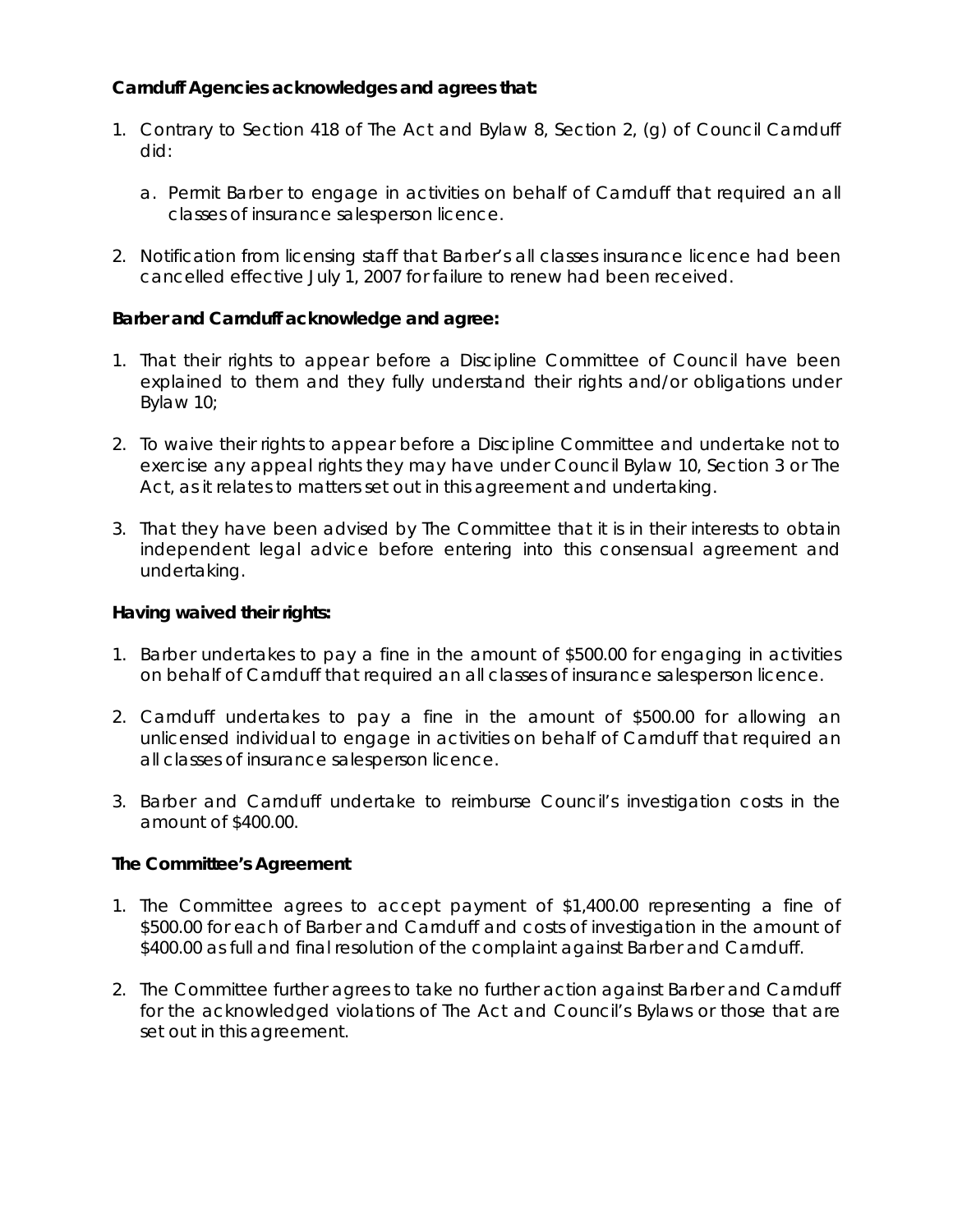# **Carnduff Agencies acknowledges and agrees that:**

- 1. Contrary to Section 418 of *The Act* and Bylaw 8, Section 2, (g) of Council Carnduff did:
	- a. Permit Barber to engage in activities on behalf of Carnduff that required an all classes of insurance salesperson licence.
- 2. Notification from licensing staff that Barber's all classes insurance licence had been cancelled effective July 1, 2007 for failure to renew had been received.

# **Barber and Carnduff acknowledge and agree:**

- 1. That their rights to appear before a Discipline Committee of Council have been explained to them and they fully understand their rights and/or obligations under Bylaw 10;
- 2. To waive their rights to appear before a Discipline Committee and undertake not to exercise any appeal rights they may have under Council Bylaw 10, Section 3 or *The Act,* as it relates to matters set out in this agreement and undertaking.
- 3. That they have been advised by The Committee that it is in their interests to obtain independent legal advice before entering into this consensual agreement and undertaking.

## **Having waived their rights:**

- 1. Barber undertakes to pay a fine in the amount of \$500.00 for engaging in activities on behalf of Carnduff that required an all classes of insurance salesperson licence.
- 2. Carnduff undertakes to pay a fine in the amount of \$500.00 for allowing an unlicensed individual to engage in activities on behalf of Carnduff that required an all classes of insurance salesperson licence.
- 3. Barber and Carnduff undertake to reimburse Council's investigation costs in the amount of \$400.00.

### **The Committee's Agreement**

- 1. The Committee agrees to accept payment of \$1,400.00 representing a fine of \$500.00 for each of Barber and Carnduff and costs of investigation in the amount of \$400.00 as full and final resolution of the complaint against Barber and Carnduff.
- 2. The Committee further agrees to take no further action against Barber and Carnduff for the acknowledged violations of *The Act* and Council's Bylaws or those that are set out in this agreement.